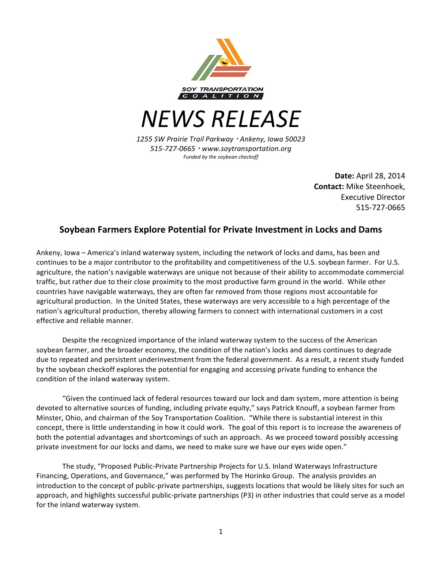

*NEWS RELEASE*

*1255 SW Prairie Trail Parkway* ! *Ankeny, Iowa 50023 515-727-0665* ! *www.soytransportation.org Funded by the soybean checkoff*

> **Date:** April 28, 2014 **Contact:** Mike Steenhoek, Executive Director 515-727-0665

## **Soybean Farmers Explore Potential for Private Investment in Locks and Dams**

Ankeny, Iowa – America's inland waterway system, including the network of locks and dams, has been and continues to be a major contributor to the profitability and competitiveness of the U.S. soybean farmer. For U.S. agriculture, the nation's navigable waterways are unique not because of their ability to accommodate commercial traffic, but rather due to their close proximity to the most productive farm ground in the world. While other countries have navigable waterways, they are often far removed from those regions most accountable for agricultural production. In the United States, these waterways are very accessible to a high percentage of the nation's agricultural production, thereby allowing farmers to connect with international customers in a cost effective and reliable manner.

Despite the recognized importance of the inland waterway system to the success of the American soybean farmer, and the broader economy, the condition of the nation's locks and dams continues to degrade due to repeated and persistent underinvestment from the federal government. As a result, a recent study funded by the soybean checkoff explores the potential for engaging and accessing private funding to enhance the condition of the inland waterway system.

"Given the continued lack of federal resources toward our lock and dam system, more attention is being devoted to alternative sources of funding, including private equity," says Patrick Knouff, a soybean farmer from Minster, Ohio, and chairman of the Soy Transportation Coalition. "While there is substantial interest in this concept, there is little understanding in how it could work. The goal of this report is to increase the awareness of both the potential advantages and shortcomings of such an approach. As we proceed toward possibly accessing private investment for our locks and dams, we need to make sure we have our eyes wide open."

The study, "Proposed Public-Private Partnership Projects for U.S. Inland Waterways Infrastructure Financing, Operations, and Governance," was performed by The Horinko Group. The analysis provides an introduction to the concept of public-private partnerships, suggests locations that would be likely sites for such an approach, and highlights successful public-private partnerships (P3) in other industries that could serve as a model for the inland waterway system.